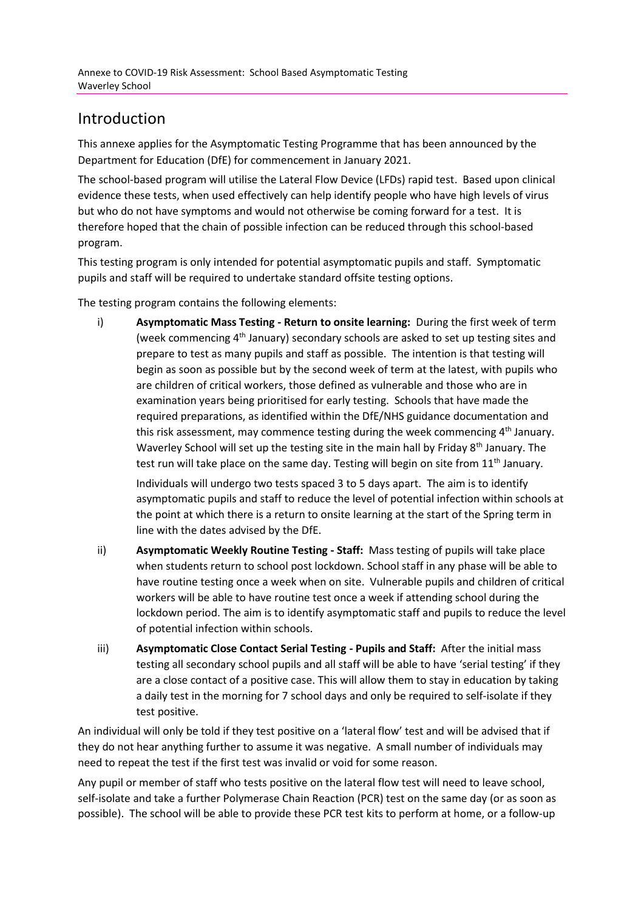## Introduction

This annexe applies for the Asymptomatic Testing Programme that has been announced by the Department for Education (DfE) for commencement in January 2021.

The school-based program will utilise the Lateral Flow Device (LFDs) rapid test. Based upon clinical evidence these tests, when used effectively can help identify people who have high levels of virus but who do not have symptoms and would not otherwise be coming forward for a test. It is therefore hoped that the chain of possible infection can be reduced through this school-based program.

This testing program is only intended for potential asymptomatic pupils and staff. Symptomatic pupils and staff will be required to undertake standard offsite testing options.

The testing program contains the following elements:

i) **Asymptomatic Mass Testing - Return to onsite learning:** During the first week of term (week commencing  $4<sup>th</sup>$  January) secondary schools are asked to set up testing sites and prepare to test as many pupils and staff as possible. The intention is that testing will begin as soon as possible but by the second week of term at the latest, with pupils who are children of critical workers, those defined as vulnerable and those who are in examination years being prioritised for early testing. Schools that have made the required preparations, as identified within the DfE/NHS guidance documentation and this risk assessment, may commence testing during the week commencing  $4<sup>th</sup>$  January. Waverley School will set up the testing site in the main hall by Friday 8<sup>th</sup> January. The test run will take place on the same day. Testing will begin on site from 11<sup>th</sup> January.

Individuals will undergo two tests spaced 3 to 5 days apart. The aim is to identify asymptomatic pupils and staff to reduce the level of potential infection within schools at the point at which there is a return to onsite learning at the start of the Spring term in line with the dates advised by the DfE.

- ii) **Asymptomatic Weekly Routine Testing - Staff:** Mass testing of pupils will take place when students return to school post lockdown. School staff in any phase will be able to have routine testing once a week when on site. Vulnerable pupils and children of critical workers will be able to have routine test once a week if attending school during the lockdown period. The aim is to identify asymptomatic staff and pupils to reduce the level of potential infection within schools.
- iii) **Asymptomatic Close Contact Serial Testing - Pupils and Staff:** After the initial mass testing all secondary school pupils and all staff will be able to have 'serial testing' if they are a close contact of a positive case. This will allow them to stay in education by taking a daily test in the morning for 7 school days and only be required to self-isolate if they test positive.

An individual will only be told if they test positive on a 'lateral flow' test and will be advised that if they do not hear anything further to assume it was negative. A small number of individuals may need to repeat the test if the first test was invalid or void for some reason.

Any pupil or member of staff who tests positive on the lateral flow test will need to leave school, self-isolate and take a further Polymerase Chain Reaction (PCR) test on the same day (or as soon as possible). The school will be able to provide these PCR test kits to perform at home, or a follow-up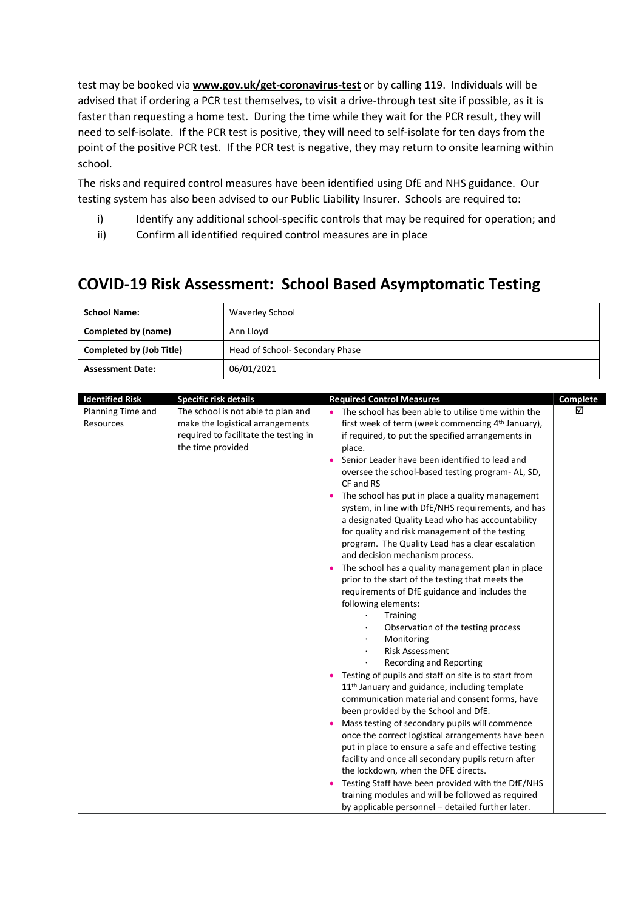test may be booked via **[www.gov.uk/get-coronavirus-test](http://www.gov.uk/get-coronavirus-test)** or by calling 119. Individuals will be advised that if ordering a PCR test themselves, to visit a drive-through test site if possible, as it is faster than requesting a home test. During the time while they wait for the PCR result, they will need to self-isolate. If the PCR test is positive, they will need to self-isolate for ten days from the point of the positive PCR test. If the PCR test is negative, they may return to onsite learning within school.

The risks and required control measures have been identified using DfE and NHS guidance. Our testing system has also been advised to our Public Liability Insurer. Schools are required to:

- i) Identify any additional school-specific controls that may be required for operation; and
- ii) Confirm all identified required control measures are in place

## **COVID-19 Risk Assessment: School Based Asymptomatic Testing**

| <b>School Name:</b>             | Waverley School                |  |  |
|---------------------------------|--------------------------------|--|--|
| Completed by (name)             | Ann Lloyd                      |  |  |
| <b>Completed by (Job Title)</b> | Head of School-Secondary Phase |  |  |
| <b>Assessment Date:</b>         | 06/01/2021                     |  |  |

| <b>Identified Risk</b>         | <b>Specific risk details</b>                                                                                                         | <b>Required Control Measures</b>                                                                                                                                                                                                                                                                                                                                                                                                                                                                                                                                                                                                                                                                                                                                                                                                                                                                                                                                                                                                                                                                                                                                                                                                                                                                                                                                                                                                                                                                                  | Complete |
|--------------------------------|--------------------------------------------------------------------------------------------------------------------------------------|-------------------------------------------------------------------------------------------------------------------------------------------------------------------------------------------------------------------------------------------------------------------------------------------------------------------------------------------------------------------------------------------------------------------------------------------------------------------------------------------------------------------------------------------------------------------------------------------------------------------------------------------------------------------------------------------------------------------------------------------------------------------------------------------------------------------------------------------------------------------------------------------------------------------------------------------------------------------------------------------------------------------------------------------------------------------------------------------------------------------------------------------------------------------------------------------------------------------------------------------------------------------------------------------------------------------------------------------------------------------------------------------------------------------------------------------------------------------------------------------------------------------|----------|
| Planning Time and<br>Resources | The school is not able to plan and<br>make the logistical arrangements<br>required to facilitate the testing in<br>the time provided | The school has been able to utilise time within the<br>first week of term (week commencing 4 <sup>th</sup> January),<br>if required, to put the specified arrangements in<br>place.<br>Senior Leader have been identified to lead and<br>oversee the school-based testing program-AL, SD,<br>CF and RS<br>• The school has put in place a quality management<br>system, in line with DfE/NHS requirements, and has<br>a designated Quality Lead who has accountability<br>for quality and risk management of the testing<br>program. The Quality Lead has a clear escalation<br>and decision mechanism process.<br>• The school has a quality management plan in place<br>prior to the start of the testing that meets the<br>requirements of DfE guidance and includes the<br>following elements:<br>Training<br>Observation of the testing process<br>Monitoring<br><b>Risk Assessment</b><br>Recording and Reporting<br>• Testing of pupils and staff on site is to start from<br>11 <sup>th</sup> January and guidance, including template<br>communication material and consent forms, have<br>been provided by the School and DfE.<br>Mass testing of secondary pupils will commence<br>once the correct logistical arrangements have been<br>put in place to ensure a safe and effective testing<br>facility and once all secondary pupils return after<br>the lockdown, when the DFE directs.<br>• Testing Staff have been provided with the DfE/NHS<br>training modules and will be followed as required | ☑        |
|                                |                                                                                                                                      | by applicable personnel – detailed further later.                                                                                                                                                                                                                                                                                                                                                                                                                                                                                                                                                                                                                                                                                                                                                                                                                                                                                                                                                                                                                                                                                                                                                                                                                                                                                                                                                                                                                                                                 |          |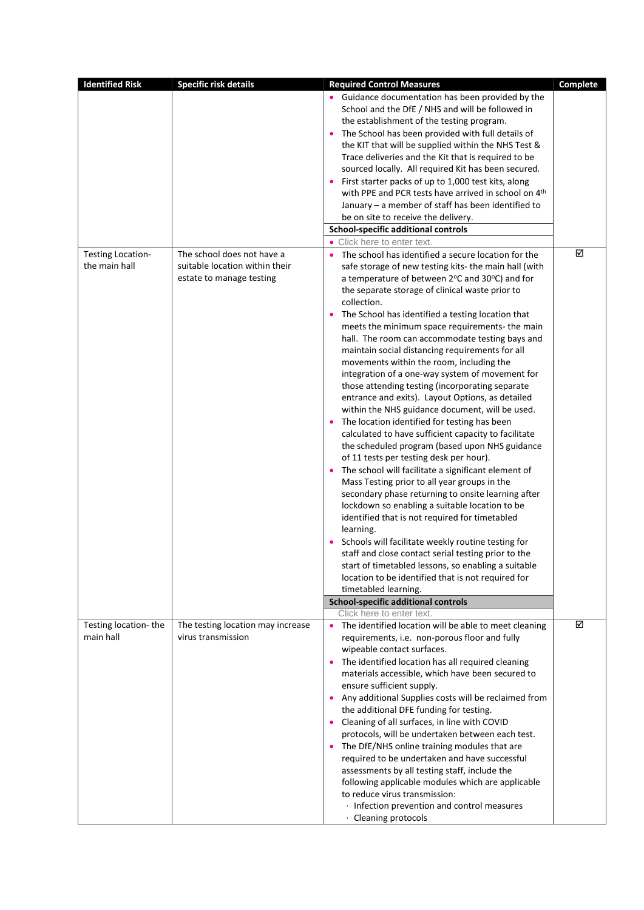| <b>Identified Risk</b>   | <b>Specific risk details</b>      | <b>Required Control Measures</b>                                                                      | Complete |
|--------------------------|-----------------------------------|-------------------------------------------------------------------------------------------------------|----------|
|                          |                                   | • Guidance documentation has been provided by the<br>School and the DfE / NHS and will be followed in |          |
|                          |                                   |                                                                                                       |          |
|                          |                                   | the establishment of the testing program.                                                             |          |
|                          |                                   | • The School has been provided with full details of                                                   |          |
|                          |                                   | the KIT that will be supplied within the NHS Test &                                                   |          |
|                          |                                   | Trace deliveries and the Kit that is required to be                                                   |          |
|                          |                                   | sourced locally. All required Kit has been secured.                                                   |          |
|                          |                                   | • First starter packs of up to 1,000 test kits, along                                                 |          |
|                          |                                   | with PPE and PCR tests have arrived in school on 4th                                                  |          |
|                          |                                   | January - a member of staff has been identified to                                                    |          |
|                          |                                   | be on site to receive the delivery.                                                                   |          |
|                          |                                   | <b>School-specific additional controls</b>                                                            |          |
|                          |                                   | • Click here to enter text.                                                                           |          |
| <b>Testing Location-</b> | The school does not have a        | The school has identified a secure location for the<br>$\bullet$                                      | ☑        |
| the main hall            | suitable location within their    | safe storage of new testing kits- the main hall (with                                                 |          |
|                          | estate to manage testing          | a temperature of between 2°C and 30°C) and for                                                        |          |
|                          |                                   | the separate storage of clinical waste prior to                                                       |          |
|                          |                                   | collection.                                                                                           |          |
|                          |                                   | The School has identified a testing location that<br>$\bullet$                                        |          |
|                          |                                   | meets the minimum space requirements- the main                                                        |          |
|                          |                                   | hall. The room can accommodate testing bays and                                                       |          |
|                          |                                   | maintain social distancing requirements for all                                                       |          |
|                          |                                   | movements within the room, including the                                                              |          |
|                          |                                   | integration of a one-way system of movement for                                                       |          |
|                          |                                   | those attending testing (incorporating separate                                                       |          |
|                          |                                   | entrance and exits). Layout Options, as detailed                                                      |          |
|                          |                                   | within the NHS guidance document, will be used.                                                       |          |
|                          |                                   | The location identified for testing has been<br>$\bullet$                                             |          |
|                          |                                   | calculated to have sufficient capacity to facilitate                                                  |          |
|                          |                                   | the scheduled program (based upon NHS guidance                                                        |          |
|                          |                                   | of 11 tests per testing desk per hour).                                                               |          |
|                          |                                   | • The school will facilitate a significant element of                                                 |          |
|                          |                                   | Mass Testing prior to all year groups in the                                                          |          |
|                          |                                   | secondary phase returning to onsite learning after                                                    |          |
|                          |                                   | lockdown so enabling a suitable location to be                                                        |          |
|                          |                                   | identified that is not required for timetabled                                                        |          |
|                          |                                   | learning.                                                                                             |          |
|                          |                                   | Schools will facilitate weekly routine testing for                                                    |          |
|                          |                                   | staff and close contact serial testing prior to the                                                   |          |
|                          |                                   | start of timetabled lessons, so enabling a suitable                                                   |          |
|                          |                                   | location to be identified that is not required for                                                    |          |
|                          |                                   | timetabled learning.                                                                                  |          |
|                          |                                   | <b>School-specific additional controls</b>                                                            |          |
|                          |                                   | Click here to enter text.                                                                             |          |
| Testing location-the     | The testing location may increase | • The identified location will be able to meet cleaning                                               | ☑        |
| main hall                | virus transmission                | requirements, i.e. non-porous floor and fully                                                         |          |
|                          |                                   | wipeable contact surfaces.                                                                            |          |
|                          |                                   |                                                                                                       |          |
|                          |                                   | The identified location has all required cleaning<br>$\bullet$                                        |          |
|                          |                                   | materials accessible, which have been secured to                                                      |          |
|                          |                                   | ensure sufficient supply.                                                                             |          |
|                          |                                   | • Any additional Supplies costs will be reclaimed from                                                |          |
|                          |                                   | the additional DFE funding for testing.                                                               |          |
|                          |                                   | • Cleaning of all surfaces, in line with COVID                                                        |          |
|                          |                                   | protocols, will be undertaken between each test.                                                      |          |
|                          |                                   | The DfE/NHS online training modules that are<br>$\bullet$                                             |          |
|                          |                                   | required to be undertaken and have successful                                                         |          |
|                          |                                   | assessments by all testing staff, include the                                                         |          |
|                          |                                   | following applicable modules which are applicable                                                     |          |
|                          |                                   | to reduce virus transmission:                                                                         |          |
|                          |                                   | · Infection prevention and control measures                                                           |          |
|                          |                                   | · Cleaning protocols                                                                                  |          |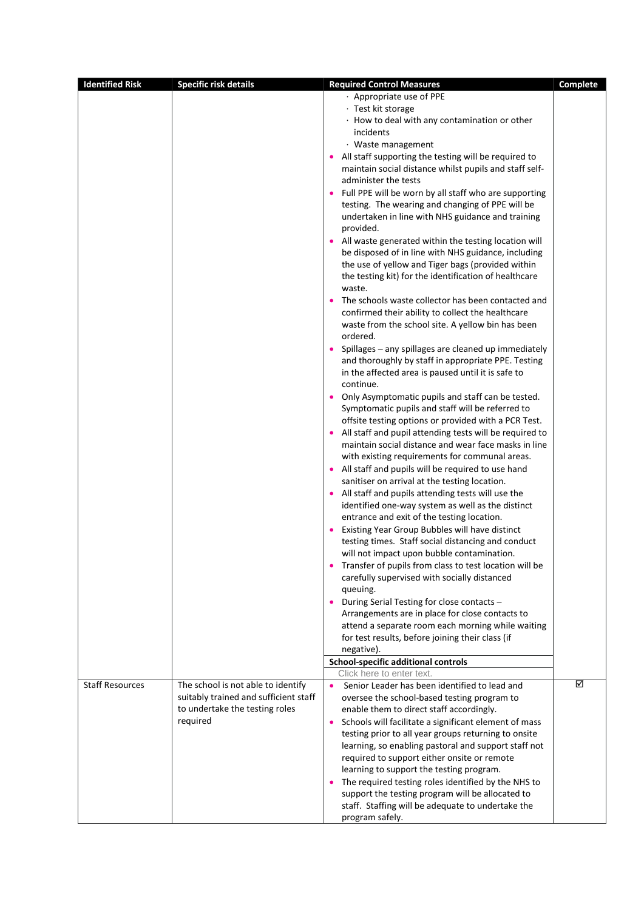| <b>Identified Risk</b> | <b>Specific risk details</b>          | <b>Required Control Measures</b>                                                                            | <b>Complete</b> |
|------------------------|---------------------------------------|-------------------------------------------------------------------------------------------------------------|-----------------|
|                        |                                       | · Appropriate use of PPE                                                                                    |                 |
|                        |                                       | · Test kit storage                                                                                          |                 |
|                        |                                       | · How to deal with any contamination or other                                                               |                 |
|                        |                                       | incidents                                                                                                   |                 |
|                        |                                       | · Waste management                                                                                          |                 |
|                        |                                       | • All staff supporting the testing will be required to                                                      |                 |
|                        |                                       | maintain social distance whilst pupils and staff self-                                                      |                 |
|                        |                                       | administer the tests                                                                                        |                 |
|                        |                                       | • Full PPE will be worn by all staff who are supporting<br>testing. The wearing and changing of PPE will be |                 |
|                        |                                       | undertaken in line with NHS guidance and training                                                           |                 |
|                        |                                       | provided.                                                                                                   |                 |
|                        |                                       | • All waste generated within the testing location will                                                      |                 |
|                        |                                       | be disposed of in line with NHS guidance, including                                                         |                 |
|                        |                                       | the use of yellow and Tiger bags (provided within                                                           |                 |
|                        |                                       | the testing kit) for the identification of healthcare                                                       |                 |
|                        |                                       | waste.                                                                                                      |                 |
|                        |                                       | The schools waste collector has been contacted and<br>$\bullet$                                             |                 |
|                        |                                       | confirmed their ability to collect the healthcare                                                           |                 |
|                        |                                       | waste from the school site. A yellow bin has been                                                           |                 |
|                        |                                       | ordered.<br>• Spillages - any spillages are cleaned up immediately                                          |                 |
|                        |                                       | and thoroughly by staff in appropriate PPE. Testing                                                         |                 |
|                        |                                       | in the affected area is paused until it is safe to                                                          |                 |
|                        |                                       | continue.                                                                                                   |                 |
|                        |                                       | Only Asymptomatic pupils and staff can be tested.<br>$\bullet$                                              |                 |
|                        |                                       | Symptomatic pupils and staff will be referred to                                                            |                 |
|                        |                                       | offsite testing options or provided with a PCR Test.                                                        |                 |
|                        |                                       | • All staff and pupil attending tests will be required to                                                   |                 |
|                        |                                       | maintain social distance and wear face masks in line                                                        |                 |
|                        |                                       | with existing requirements for communal areas.                                                              |                 |
|                        |                                       | • All staff and pupils will be required to use hand                                                         |                 |
|                        |                                       | sanitiser on arrival at the testing location.                                                               |                 |
|                        |                                       | • All staff and pupils attending tests will use the<br>identified one-way system as well as the distinct    |                 |
|                        |                                       | entrance and exit of the testing location.                                                                  |                 |
|                        |                                       | Existing Year Group Bubbles will have distinct                                                              |                 |
|                        |                                       | testing times. Staff social distancing and conduct                                                          |                 |
|                        |                                       | will not impact upon bubble contamination.                                                                  |                 |
|                        |                                       | Transfer of pupils from class to test location will be                                                      |                 |
|                        |                                       | carefully supervised with socially distanced                                                                |                 |
|                        |                                       | queuing.                                                                                                    |                 |
|                        |                                       | • During Serial Testing for close contacts -                                                                |                 |
|                        |                                       | Arrangements are in place for close contacts to                                                             |                 |
|                        |                                       | attend a separate room each morning while waiting<br>for test results, before joining their class (if       |                 |
|                        |                                       | negative).                                                                                                  |                 |
|                        |                                       | School-specific additional controls                                                                         |                 |
|                        |                                       | Click here to enter text.                                                                                   |                 |
| <b>Staff Resources</b> | The school is not able to identify    | Senior Leader has been identified to lead and<br>$\bullet$                                                  | ☑               |
|                        | suitably trained and sufficient staff | oversee the school-based testing program to                                                                 |                 |
|                        | to undertake the testing roles        | enable them to direct staff accordingly.                                                                    |                 |
|                        | required                              | Schools will facilitate a significant element of mass<br>$\bullet$                                          |                 |
|                        |                                       | testing prior to all year groups returning to onsite                                                        |                 |
|                        |                                       | learning, so enabling pastoral and support staff not<br>required to support either onsite or remote         |                 |
|                        |                                       | learning to support the testing program.                                                                    |                 |
|                        |                                       | • The required testing roles identified by the NHS to                                                       |                 |
|                        |                                       | support the testing program will be allocated to                                                            |                 |
|                        |                                       | staff. Staffing will be adequate to undertake the                                                           |                 |
|                        |                                       | program safely.                                                                                             |                 |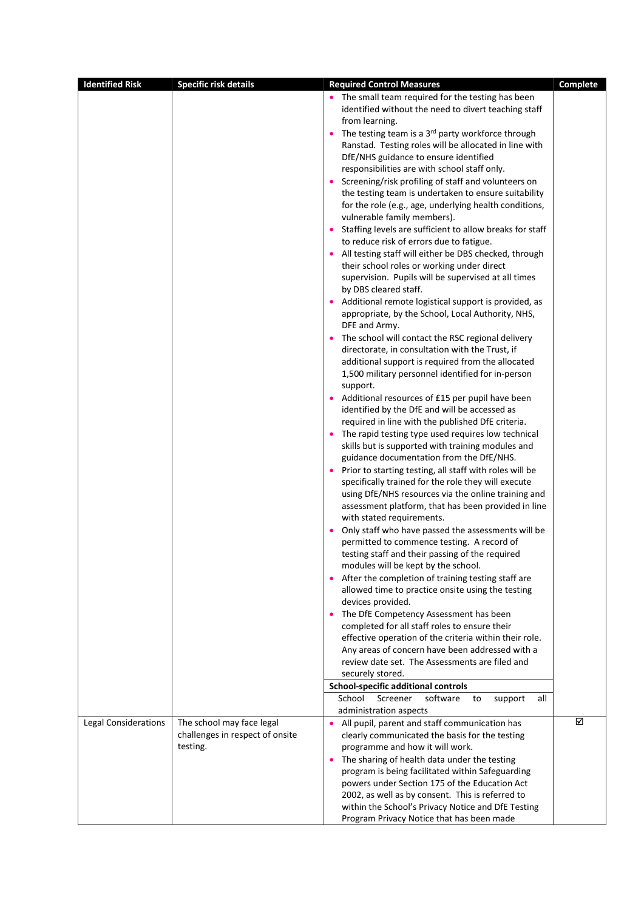| <b>Identified Risk</b>      | <b>Specific risk details</b>                | <b>Required Control Measures</b>                                                                             | Complete |
|-----------------------------|---------------------------------------------|--------------------------------------------------------------------------------------------------------------|----------|
|                             |                                             | • The small team required for the testing has been                                                           |          |
|                             |                                             | identified without the need to divert teaching staff                                                         |          |
|                             |                                             | from learning.                                                                                               |          |
|                             |                                             | • The testing team is a 3rd party workforce through<br>Ranstad. Testing roles will be allocated in line with |          |
|                             |                                             | DfE/NHS guidance to ensure identified                                                                        |          |
|                             |                                             | responsibilities are with school staff only.                                                                 |          |
|                             |                                             | • Screening/risk profiling of staff and volunteers on                                                        |          |
|                             |                                             | the testing team is undertaken to ensure suitability                                                         |          |
|                             |                                             | for the role (e.g., age, underlying health conditions,                                                       |          |
|                             |                                             | vulnerable family members).                                                                                  |          |
|                             |                                             | Staffing levels are sufficient to allow breaks for staff<br>$\bullet$                                        |          |
|                             |                                             | to reduce risk of errors due to fatigue.                                                                     |          |
|                             |                                             | • All testing staff will either be DBS checked, through                                                      |          |
|                             |                                             | their school roles or working under direct<br>supervision. Pupils will be supervised at all times            |          |
|                             |                                             | by DBS cleared staff.                                                                                        |          |
|                             |                                             | • Additional remote logistical support is provided, as                                                       |          |
|                             |                                             | appropriate, by the School, Local Authority, NHS,                                                            |          |
|                             |                                             | DFE and Army.                                                                                                |          |
|                             |                                             | • The school will contact the RSC regional delivery                                                          |          |
|                             |                                             | directorate, in consultation with the Trust, if                                                              |          |
|                             |                                             | additional support is required from the allocated                                                            |          |
|                             |                                             | 1,500 military personnel identified for in-person                                                            |          |
|                             |                                             | support.                                                                                                     |          |
|                             |                                             | • Additional resources of £15 per pupil have been<br>identified by the DfE and will be accessed as           |          |
|                             |                                             | required in line with the published DfE criteria.                                                            |          |
|                             |                                             | • The rapid testing type used requires low technical                                                         |          |
|                             |                                             | skills but is supported with training modules and                                                            |          |
|                             |                                             | guidance documentation from the DfE/NHS.                                                                     |          |
|                             |                                             | Prior to starting testing, all staff with roles will be                                                      |          |
|                             |                                             | specifically trained for the role they will execute                                                          |          |
|                             |                                             | using DfE/NHS resources via the online training and                                                          |          |
|                             |                                             | assessment platform, that has been provided in line<br>with stated requirements.                             |          |
|                             |                                             | Only staff who have passed the assessments will be                                                           |          |
|                             |                                             | permitted to commence testing. A record of                                                                   |          |
|                             |                                             | testing staff and their passing of the required                                                              |          |
|                             |                                             | modules will be kept by the school.                                                                          |          |
|                             |                                             | • After the completion of training testing staff are                                                         |          |
|                             |                                             | allowed time to practice onsite using the testing                                                            |          |
|                             |                                             | devices provided.                                                                                            |          |
|                             |                                             | The DfE Competency Assessment has been<br>$\bullet$                                                          |          |
|                             |                                             | completed for all staff roles to ensure their<br>effective operation of the criteria within their role.      |          |
|                             |                                             | Any areas of concern have been addressed with a                                                              |          |
|                             |                                             | review date set. The Assessments are filed and                                                               |          |
|                             |                                             | securely stored.                                                                                             |          |
|                             |                                             | School-specific additional controls                                                                          |          |
|                             |                                             | School<br>Screener<br>software<br>to<br>support<br>all                                                       |          |
|                             |                                             | administration aspects                                                                                       |          |
| <b>Legal Considerations</b> | The school may face legal                   | • All pupil, parent and staff communication has                                                              | ☑        |
|                             | challenges in respect of onsite<br>testing. | clearly communicated the basis for the testing                                                               |          |
|                             |                                             | programme and how it will work.<br>The sharing of health data under the testing<br>$\bullet$                 |          |
|                             |                                             | program is being facilitated within Safeguarding                                                             |          |
|                             |                                             | powers under Section 175 of the Education Act                                                                |          |
|                             |                                             | 2002, as well as by consent. This is referred to                                                             |          |
|                             |                                             | within the School's Privacy Notice and DfE Testing                                                           |          |
|                             |                                             | Program Privacy Notice that has been made                                                                    |          |